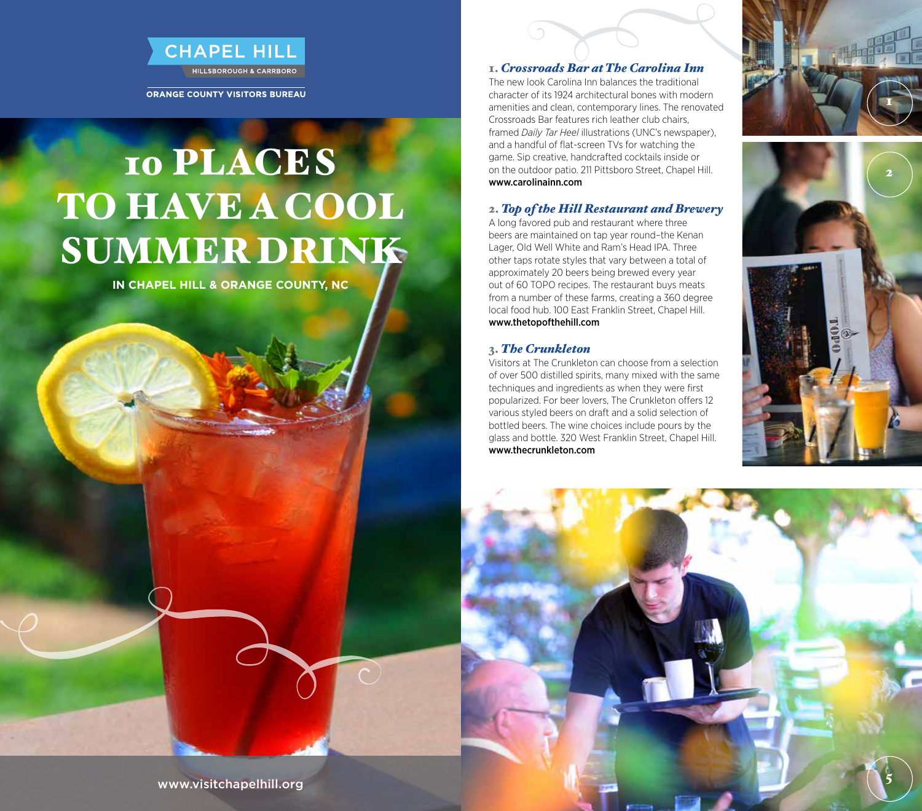

ORANGE COUNTY VISITORS BUREAU

# 10 PLACES TO HAVE A COOL SUMMER DRINK

**in Chapel Hill & Orange County, NC**

#### 1. *Crossroads Bar at The Carolina Inn*

The new look Carolina Inn balances the traditional character of its 1924 architectural bones with modern amenities and clean, contemporary lines. The renovated Crossroads Bar features rich leather club chairs, framed *Daily Tar Heel* illustrations (UNC's newspaper), and a handful of flat-screen TVs for watching the game. Sip creative, handcrafted cocktails inside or on the outdoor patio. 211 Pittsboro Street, Chapel Hill. www.carolinainn.com

# 2. *Top of the Hill Restaurant and Brewery*

A long favored pub and restaurant where three beers are maintained on tap year round–the Kenan Lager, Old Well White and Ram's Head IPA. Three other taps rotate styles that vary between a total of approximately 20 beers being brewed every year out of 60 TOPO recipes. The restaurant buys meats from a number of these farms, creating a 360 degree local food hub. 100 East Franklin Street, Chapel Hill. www.thetopofthehill.com

### 3. *The Crunkleton*

Visitors at The Crunkleton can choose from a selection of over 500 distilled spirits, many mixed with the same techniques and ingredients as when they were first popularized. For beer lovers, The Crunkleton offers 12 various styled beers on draft and a solid selection of bottled beers. The wine choices include pours by the glass and bottle. 320 West Franklin Street, Chapel Hill. www.thecrunkleton.com